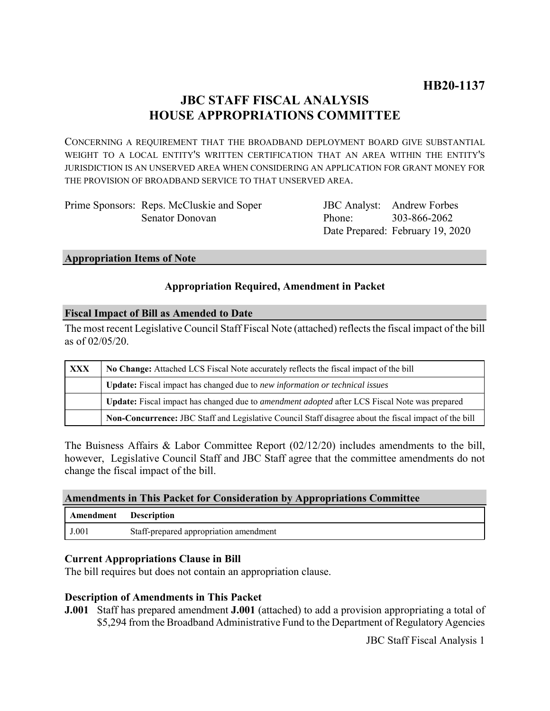# **JBC STAFF FISCAL ANALYSIS HOUSE APPROPRIATIONS COMMITTEE**

CONCERNING A REQUIREMENT THAT THE BROADBAND DEPLOYMENT BOARD GIVE SUBSTANTIAL WEIGHT TO A LOCAL ENTITY'S WRITTEN CERTIFICATION THAT AN AREA WITHIN THE ENTITY'S JURISDICTION IS AN UNSERVED AREA WHEN CONSIDERING AN APPLICATION FOR GRANT MONEY FOR THE PROVISION OF BROADBAND SERVICE TO THAT UNSERVED AREA.

| Prime Sponsors: Reps. McCluskie and Soper |
|-------------------------------------------|
| Senator Donovan                           |

JBC Analyst: Andrew Forbes Phone: Date Prepared: February 19, 2020 303-866-2062

#### **Appropriation Items of Note**

### **Appropriation Required, Amendment in Packet**

#### **Fiscal Impact of Bill as Amended to Date**

The most recent Legislative Council Staff Fiscal Note (attached) reflects the fiscal impact of the bill as of 02/05/20.

| <b>XXX</b> | No Change: Attached LCS Fiscal Note accurately reflects the fiscal impact of the bill                       |  |
|------------|-------------------------------------------------------------------------------------------------------------|--|
|            | <b>Update:</b> Fiscal impact has changed due to new information or technical issues                         |  |
|            | <b>Update:</b> Fiscal impact has changed due to <i>amendment adopted</i> after LCS Fiscal Note was prepared |  |
|            | Non-Concurrence: JBC Staff and Legislative Council Staff disagree about the fiscal impact of the bill       |  |

The Buisness Affairs & Labor Committee Report (02/12/20) includes amendments to the bill, however, Legislative Council Staff and JBC Staff agree that the committee amendments do not change the fiscal impact of the bill.

|  |  |  | Amendments in This Packet for Consideration by Appropriations Committee |
|--|--|--|-------------------------------------------------------------------------|
|--|--|--|-------------------------------------------------------------------------|

| Amendment | <b>Description</b>                     |
|-----------|----------------------------------------|
| J.001     | Staff-prepared appropriation amendment |

#### **Current Appropriations Clause in Bill**

The bill requires but does not contain an appropriation clause.

#### **Description of Amendments in This Packet**

**J.001** Staff has prepared amendment **J.001** (attached) to add a provision appropriating a total of \$5,294 from the Broadband Administrative Fund to the Department of Regulatory Agencies

JBC Staff Fiscal Analysis 1